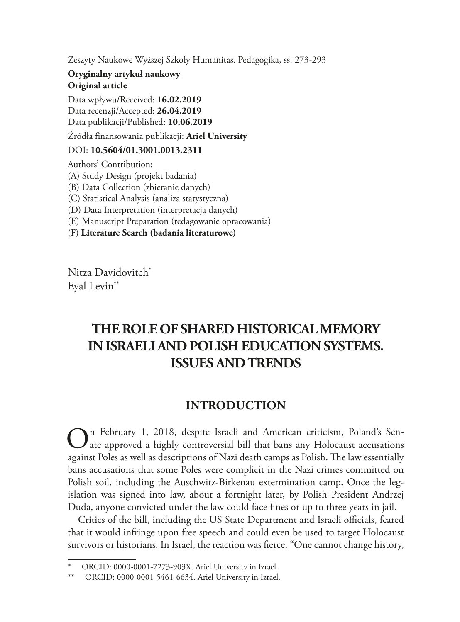Zeszyty Naukowe Wyższej Szkoły Humanitas. Pedagogika, ss. 273-293

#### **Oryginalny artykuł naukowy Original article**

Data wpływu/Received: **16.02.2019** Data recenzji/Accepted: **26.04.2019** Data publikacji/Published: **10.06.2019**

Źródła finansowania publikacji: **Ariel University**

#### DOI: **10.5604/01.3001.0013.2311**

Authors' Contribution:

- (A) Study Design (projekt badania)
- (B) Data Collection (zbieranie danych)
- (C) Statistical Analysis (analiza statystyczna)
- (D) Data Interpretation (interpretacja danych)
- (E) Manuscript Preparation (redagowanie opracowania)
- (F) **Literature Search (badania literaturowe)**

Nitza Davidovitch<sup>\*</sup> Eyal Levin\*\*

# **THE ROLE OF SHARED HISTORICAL MEMORY IN ISRAELI AND POLISH EDUCATION SYSTEMS. ISSUES AND TRENDS**

## **INTRODUCTION**

 $\bigodot$ n February 1, 2018, despite Israeli and American criticism, Poland's Sen-<br>ate approved a highly controversial bill that bans any Holocaust accusations against Poles as well as descriptions of Nazi death camps as Polish. The law essentially bans accusations that some Poles were complicit in the Nazi crimes committed on Polish soil, including the Auschwitz-Birkenau extermination camp. Once the legislation was signed into law, about a fortnight later, by Polish President Andrzej Duda, anyone convicted under the law could face fines or up to three years in jail.

Critics of the bill, including the US State Department and Israeli officials, feared that it would infringe upon free speech and could even be used to target Holocaust survivors or historians. In Israel, the reaction was fierce. "One cannot change history,

ORCID: 0000-0001-7273-903X. Ariel University in Izrael.

<sup>\*\*</sup> ORCID: 0000-0001-5461-6634. Ariel University in Izrael.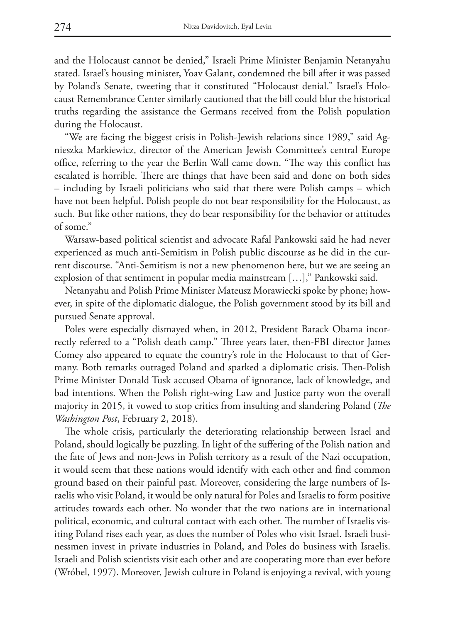and the Holocaust cannot be denied," Israeli Prime Minister Benjamin Netanyahu stated. Israel's housing minister, Yoav Galant, condemned the bill after it was passed by Poland's Senate, tweeting that it constituted "Holocaust denial." Israel's Holocaust Remembrance Center similarly cautioned that the bill could blur the historical truths regarding the assistance the Germans received from the Polish population during the Holocaust.

"We are facing the biggest crisis in Polish-Jewish relations since 1989," said Agnieszka Markiewicz, director of the American Jewish Committee's central Europe office, referring to the year the Berlin Wall came down. "The way this conflict has escalated is horrible. There are things that have been said and done on both sides – including by Israeli politicians who said that there were Polish camps – which have not been helpful. Polish people do not bear responsibility for the Holocaust, as such. But like other nations, they do bear responsibility for the behavior or attitudes of some."

Warsaw-based political scientist and advocate Rafal Pankowski said he had never experienced as much anti-Semitism in Polish public discourse as he did in the current discourse. "Anti-Semitism is not a new phenomenon here, but we are seeing an explosion of that sentiment in popular media mainstream […]," Pankowski said.

Netanyahu and Polish Prime Minister Mateusz Morawiecki spoke by phone; however, in spite of the diplomatic dialogue, the Polish government stood by its bill and pursued Senate approval.

Poles were especially dismayed when, in 2012, President Barack Obama incorrectly referred to a "Polish death camp." Three years later, then-FBI director James Comey also appeared to equate the country's role in the Holocaust to that of Germany. Both remarks outraged Poland and sparked a diplomatic crisis. Then-Polish Prime Minister Donald Tusk accused Obama of ignorance, lack of knowledge, and bad intentions. When the Polish right-wing Law and Justice party won the overall majority in 2015, it vowed to stop critics from insulting and slandering Poland (*The Washington Post*, February 2, 2018).

The whole crisis, particularly the deteriorating relationship between Israel and Poland, should logically be puzzling. In light of the suffering of the Polish nation and the fate of Jews and non-Jews in Polish territory as a result of the Nazi occupation, it would seem that these nations would identify with each other and find common ground based on their painful past. Moreover, considering the large numbers of Israelis who visit Poland, it would be only natural for Poles and Israelis to form positive attitudes towards each other. No wonder that the two nations are in international political, economic, and cultural contact with each other. The number of Israelis visiting Poland rises each year, as does the number of Poles who visit Israel. Israeli businessmen invest in private industries in Poland, and Poles do business with Israelis. Israeli and Polish scientists visit each other and are cooperating more than ever before (Wróbel, 1997). Moreover, Jewish culture in Poland is enjoying a revival, with young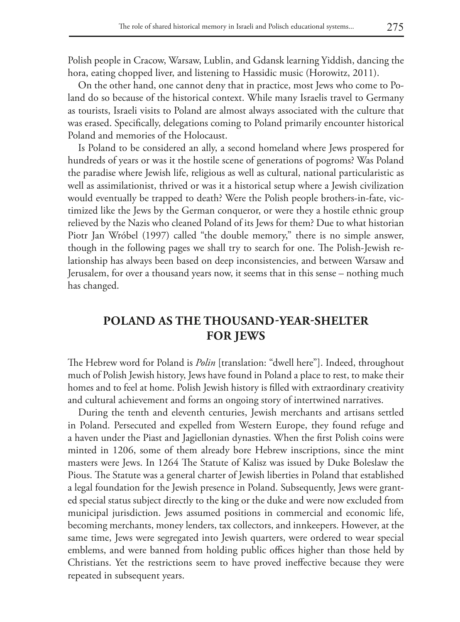Polish people in Cracow, Warsaw, Lublin, and Gdansk learning Yiddish, dancing the hora, eating chopped liver, and listening to Hassidic music (Horowitz, 2011).

On the other hand, one cannot deny that in practice, most Jews who come to Poland do so because of the historical context. While many Israelis travel to Germany as tourists, Israeli visits to Poland are almost always associated with the culture that was erased. Specifically, delegations coming to Poland primarily encounter historical Poland and memories of the Holocaust.

Is Poland to be considered an ally, a second homeland where Jews prospered for hundreds of years or was it the hostile scene of generations of pogroms? Was Poland the paradise where Jewish life, religious as well as cultural, national particularistic as well as assimilationist, thrived or was it a historical setup where a Jewish civilization would eventually be trapped to death? Were the Polish people brothers-in-fate, victimized like the Jews by the German conqueror, or were they a hostile ethnic group relieved by the Nazis who cleaned Poland of its Jews for them? Due to what historian Piotr Jan Wróbel (1997) called "the double memory," there is no simple answer, though in the following pages we shall try to search for one. The Polish-Jewish relationship has always been based on deep inconsistencies, and between Warsaw and Jerusalem, for over a thousand years now, it seems that in this sense – nothing much has changed.

### **POLAND AS THE THOUSAND-YEAR-SHELTER FOR JEWS**

The Hebrew word for Poland is *Polin* [translation: "dwell here"]. Indeed, throughout much of Polish Jewish history, Jews have found in Poland a place to rest, to make their homes and to feel at home. Polish Jewish history is filled with extraordinary creativity and cultural achievement and forms an ongoing story of intertwined narratives.

During the tenth and eleventh centuries, Jewish merchants and artisans settled in Poland. Persecuted and expelled from Western Europe, they found refuge and a haven under the Piast and Jagiellonian dynasties. When the first Polish coins were minted in 1206, some of them already bore Hebrew inscriptions, since the mint masters were Jews. In 1264 The Statute of Kalisz was issued by Duke Boleslaw the Pious. The Statute was a general charter of Jewish liberties in Poland that established a legal foundation for the Jewish presence in Poland. Subsequently, Jews were granted special status subject directly to the king or the duke and were now excluded from municipal jurisdiction. Jews assumed positions in commercial and economic life, becoming merchants, money lenders, tax collectors, and innkeepers. However, at the same time, Jews were segregated into Jewish quarters, were ordered to wear special emblems, and were banned from holding public offices higher than those held by Christians. Yet the restrictions seem to have proved ineffective because they were repeated in subsequent years.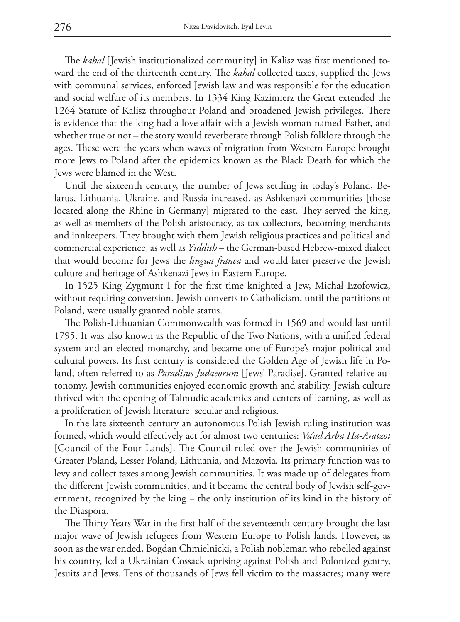The *kahal* [Jewish institutionalized community] in Kalisz was first mentioned toward the end of the thirteenth century. The *kahal* collected taxes, supplied the Jews with communal services, enforced Jewish law and was responsible for the education and social welfare of its members. In 1334 King Kazimierz the Great extended the 1264 Statute of Kalisz throughout Poland and broadened Jewish privileges. There is evidence that the king had a love affair with a Jewish woman named Esther, and whether true or not – the story would reverberate through Polish folklore through the ages. These were the years when waves of migration from Western Europe brought more Jews to Poland after the epidemics known as the Black Death for which the Jews were blamed in the West.

Until the sixteenth century, the number of Jews settling in today's Poland, Belarus, Lithuania, Ukraine, and Russia increased, as Ashkenazi communities [those located along the Rhine in Germany] migrated to the east. They served the king, as well as members of the Polish aristocracy, as tax collectors, becoming merchants and innkeepers. They brought with them Jewish religious practices and political and commercial experience, as well as *Yiddish* – the German-based Hebrew-mixed dialect that would become for Jews the *lingua franca* and would later preserve the Jewish culture and heritage of Ashkenazi Jews in Eastern Europe.

In 1525 King Zygmunt I for the first time knighted a Jew, Michał Ezofowicz, without requiring conversion. Jewish converts to Catholicism, until the partitions of Poland, were usually granted noble status.

The Polish-Lithuanian Commonwealth was formed in 1569 and would last until 1795. It was also known as the Republic of the Two Nations, with a unified federal system and an elected monarchy, and became one of Europe's major political and cultural powers. Its first century is considered the Golden Age of Jewish life in Poland, often referred to as *Paradisus Judaeorum* [Jews' Paradise]. Granted relative autonomy, Jewish communities enjoyed economic growth and stability. Jewish culture thrived with the opening of Talmudic academies and centers of learning, as well as a proliferation of Jewish literature, secular and religious.

In the late sixteenth century an autonomous Polish Jewish ruling institution was formed, which would effectively act for almost two centuries: *Va'ad Arba Ha-Aratzot* [Council of the Four Lands]. The Council ruled over the Jewish communities of Greater Poland, Lesser Poland, Lithuania, and Mazovia. Its primary function was to levy and collect taxes among Jewish communities. It was made up of delegates from the different Jewish communities, and it became the central body of Jewish self-government, recognized by the king − the only institution of its kind in the history of the Diaspora.

The Thirty Years War in the first half of the seventeenth century brought the last major wave of Jewish refugees from Western Europe to Polish lands. However, as soon as the war ended, Bogdan Chmielnicki, a Polish nobleman who rebelled against his country, led a Ukrainian Cossack uprising against Polish and Polonized gentry, Jesuits and Jews. Tens of thousands of Jews fell victim to the massacres; many were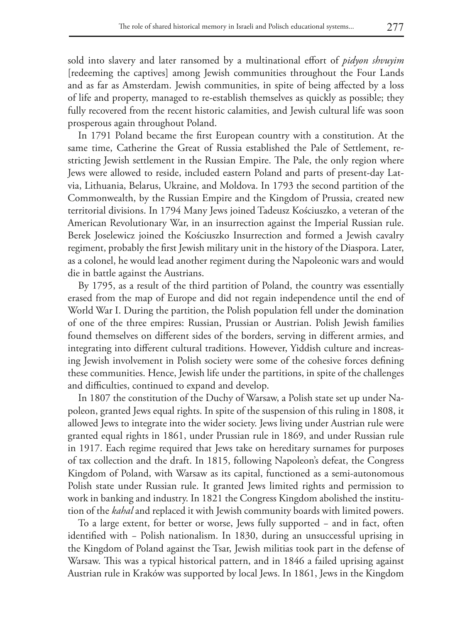sold into slavery and later ransomed by a multinational effort of *pidyon shvuyim* [redeeming the captives] among Jewish communities throughout the Four Lands and as far as Amsterdam. Jewish communities, in spite of being affected by a loss of life and property, managed to re-establish themselves as quickly as possible; they fully recovered from the recent historic calamities, and Jewish cultural life was soon prosperous again throughout Poland.

In 1791 Poland became the first European country with a constitution. At the same time, Catherine the Great of Russia established the Pale of Settlement, restricting Jewish settlement in the Russian Empire. The Pale, the only region where Jews were allowed to reside, included eastern Poland and parts of present-day Latvia, Lithuania, Belarus, Ukraine, and Moldova. In 1793 the second partition of the Commonwealth, by the Russian Empire and the Kingdom of Prussia, created new territorial divisions. In 1794 Many Jews joined Tadeusz Kościuszko, a veteran of the American Revolutionary War, in an insurrection against the Imperial Russian rule. Berek Joselewicz joined the Kościuszko Insurrection and formed a Jewish cavalry regiment, probably the first Jewish military unit in the history of the Diaspora. Later, as a colonel, he would lead another regiment during the Napoleonic wars and would die in battle against the Austrians.

By 1795, as a result of the third partition of Poland, the country was essentially erased from the map of Europe and did not regain independence until the end of World War I. During the partition, the Polish population fell under the domination of one of the three empires: Russian, Prussian or Austrian. Polish Jewish families found themselves on different sides of the borders, serving in different armies, and integrating into different cultural traditions. However, Yiddish culture and increasing Jewish involvement in Polish society were some of the cohesive forces defining these communities. Hence, Jewish life under the partitions, in spite of the challenges and difficulties, continued to expand and develop.

In 1807 the constitution of the Duchy of Warsaw, a Polish state set up under Napoleon, granted Jews equal rights. In spite of the suspension of this ruling in 1808, it allowed Jews to integrate into the wider society. Jews living under Austrian rule were granted equal rights in 1861, under Prussian rule in 1869, and under Russian rule in 1917. Each regime required that Jews take on hereditary surnames for purposes of tax collection and the draft. In 1815, following Napoleon's defeat, the Congress Kingdom of Poland, with Warsaw as its capital, functioned as a semi-autonomous Polish state under Russian rule. It granted Jews limited rights and permission to work in banking and industry. In 1821 the Congress Kingdom abolished the institution of the *kahal* and replaced it with Jewish community boards with limited powers.

To a large extent, for better or worse, Jews fully supported − and in fact, often identified with − Polish nationalism. In 1830, during an unsuccessful uprising in the Kingdom of Poland against the Tsar, Jewish militias took part in the defense of Warsaw. This was a typical historical pattern, and in 1846 a failed uprising against Austrian rule in Kraków was supported by local Jews. In 1861, Jews in the Kingdom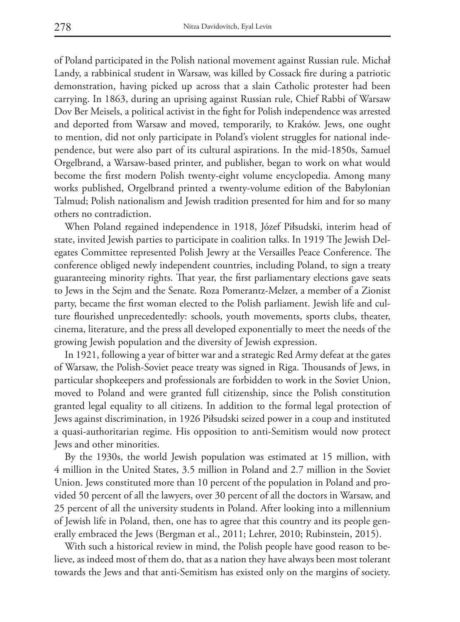of Poland participated in the Polish national movement against Russian rule. Michał Landy, a rabbinical student in Warsaw, was killed by Cossack fire during a patriotic demonstration, having picked up across that a slain Catholic protester had been carrying. In 1863, during an uprising against Russian rule, Chief Rabbi of Warsaw Dov Ber Meisels, a political activist in the fight for Polish independence was arrested and deported from Warsaw and moved, temporarily, to Kraków. Jews, one ought to mention, did not only participate in Poland's violent struggles for national independence, but were also part of its cultural aspirations. In the mid-1850s, Samuel Orgelbrand, a Warsaw-based printer, and publisher, began to work on what would become the first modern Polish twenty-eight volume encyclopedia. Among many works published, Orgelbrand printed a twenty-volume edition of the Babylonian Talmud; Polish nationalism and Jewish tradition presented for him and for so many others no contradiction.

When Poland regained independence in 1918, Józef Piłsudski, interim head of state, invited Jewish parties to participate in coalition talks. In 1919 The Jewish Delegates Committee represented Polish Jewry at the Versailles Peace Conference. The conference obliged newly independent countries, including Poland, to sign a treaty guaranteeing minority rights. That year, the first parliamentary elections gave seats to Jews in the Sejm and the Senate. Roza Pomerantz-Melzer, a member of a Zionist party, became the first woman elected to the Polish parliament. Jewish life and culture flourished unprecedentedly: schools, youth movements, sports clubs, theater, cinema, literature, and the press all developed exponentially to meet the needs of the growing Jewish population and the diversity of Jewish expression.

In 1921, following a year of bitter war and a strategic Red Army defeat at the gates of Warsaw, the Polish-Soviet peace treaty was signed in Riga. Thousands of Jews, in particular shopkeepers and professionals are forbidden to work in the Soviet Union, moved to Poland and were granted full citizenship, since the Polish constitution granted legal equality to all citizens. In addition to the formal legal protection of Jews against discrimination, in 1926 Piłsudski seized power in a coup and instituted a quasi-authoritarian regime. His opposition to anti-Semitism would now protect Jews and other minorities.

By the 1930s, the world Jewish population was estimated at 15 million, with 4 million in the United States, 3.5 million in Poland and 2.7 million in the Soviet Union. Jews constituted more than 10 percent of the population in Poland and provided 50 percent of all the lawyers, over 30 percent of all the doctors in Warsaw, and 25 percent of all the university students in Poland. After looking into a millennium of Jewish life in Poland, then, one has to agree that this country and its people generally embraced the Jews (Bergman et al., 2011; Lehrer, 2010; Rubinstein, 2015).

With such a historical review in mind, the Polish people have good reason to believe, as indeed most of them do, that as a nation they have always been most tolerant towards the Jews and that anti-Semitism has existed only on the margins of society.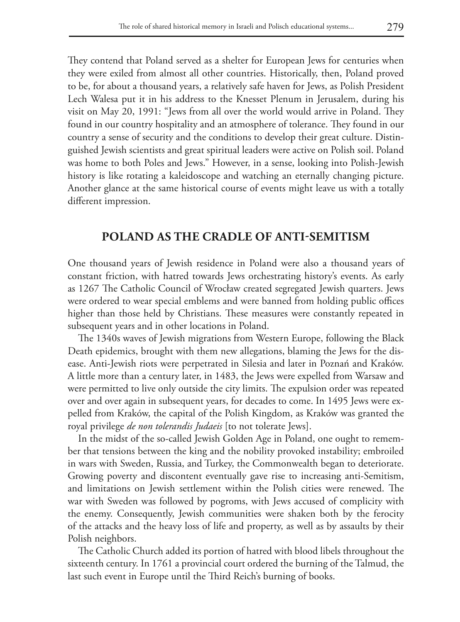They contend that Poland served as a shelter for European Jews for centuries when they were exiled from almost all other countries. Historically, then, Poland proved to be, for about a thousand years, a relatively safe haven for Jews, as Polish President Lech Walesa put it in his address to the Knesset Plenum in Jerusalem, during his visit on May 20, 1991: "Jews from all over the world would arrive in Poland. They found in our country hospitality and an atmosphere of tolerance. They found in our country a sense of security and the conditions to develop their great culture. Distinguished Jewish scientists and great spiritual leaders were active on Polish soil. Poland was home to both Poles and Jews." However, in a sense, looking into Polish-Jewish history is like rotating a kaleidoscope and watching an eternally changing picture. Another glance at the same historical course of events might leave us with a totally different impression.

### **POLAND AS THE CRADLE OF ANTI-SEMITISM**

One thousand years of Jewish residence in Poland were also a thousand years of constant friction, with hatred towards Jews orchestrating history's events. As early as 1267 The Catholic Council of Wrocław created segregated Jewish quarters. Jews were ordered to wear special emblems and were banned from holding public offices higher than those held by Christians. These measures were constantly repeated in subsequent years and in other locations in Poland.

The 1340s waves of Jewish migrations from Western Europe, following the Black Death epidemics, brought with them new allegations, blaming the Jews for the disease. Anti-Jewish riots were perpetrated in Silesia and later in Poznań and Kraków. A little more than a century later, in 1483, the Jews were expelled from Warsaw and were permitted to live only outside the city limits. The expulsion order was repeated over and over again in subsequent years, for decades to come. In 1495 Jews were expelled from Kraków, the capital of the Polish Kingdom, as Kraków was granted the royal privilege *de non tolerandis Judaeis* [to not tolerate Jews].

In the midst of the so-called Jewish Golden Age in Poland, one ought to remember that tensions between the king and the nobility provoked instability; embroiled in wars with Sweden, Russia, and Turkey, the Commonwealth began to deteriorate. Growing poverty and discontent eventually gave rise to increasing anti-Semitism, and limitations on Jewish settlement within the Polish cities were renewed. The war with Sweden was followed by pogroms, with Jews accused of complicity with the enemy. Consequently, Jewish communities were shaken both by the ferocity of the attacks and the heavy loss of life and property, as well as by assaults by their Polish neighbors.

The Catholic Church added its portion of hatred with blood libels throughout the sixteenth century. In 1761 a provincial court ordered the burning of the Talmud, the last such event in Europe until the Third Reich's burning of books.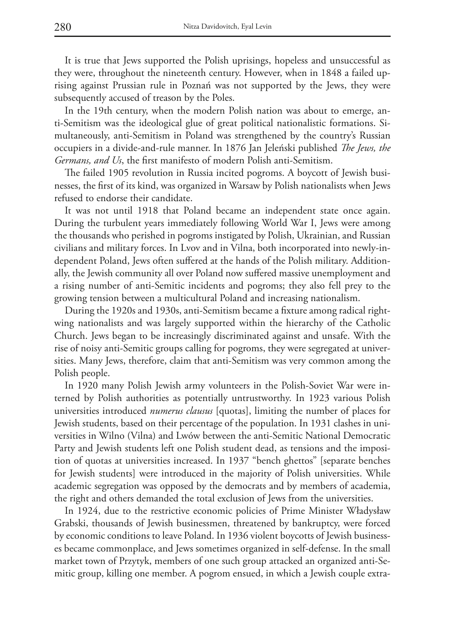It is true that Jews supported the Polish uprisings, hopeless and unsuccessful as they were, throughout the nineteenth century. However, when in 1848 a failed uprising against Prussian rule in Poznań was not supported by the Jews, they were subsequently accused of treason by the Poles.

In the 19th century, when the modern Polish nation was about to emerge, anti-Semitism was the ideological glue of great political nationalistic formations. Simultaneously, anti-Semitism in Poland was strengthened by the country's Russian occupiers in a divide-and-rule manner. In 1876 Jan Jeleński published *The Jews, the Germans, and Us*, the first manifesto of modern Polish anti-Semitism.

The failed 1905 revolution in Russia incited pogroms. A boycott of Jewish businesses, the first of its kind, was organized in Warsaw by Polish nationalists when Jews refused to endorse their candidate.

It was not until 1918 that Poland became an independent state once again. During the turbulent years immediately following World War I, Jews were among the thousands who perished in pogroms instigated by Polish, Ukrainian, and Russian civilians and military forces. In Lvov and in Vilna, both incorporated into newly-independent Poland, Jews often suffered at the hands of the Polish military. Additionally, the Jewish community all over Poland now suffered massive unemployment and a rising number of anti-Semitic incidents and pogroms; they also fell prey to the growing tension between a multicultural Poland and increasing nationalism.

During the 1920s and 1930s, anti-Semitism became a fixture among radical rightwing nationalists and was largely supported within the hierarchy of the Catholic Church. Jews began to be increasingly discriminated against and unsafe. With the rise of noisy anti-Semitic groups calling for pogroms, they were segregated at universities. Many Jews, therefore, claim that anti-Semitism was very common among the Polish people.

In 1920 many Polish Jewish army volunteers in the Polish-Soviet War were interned by Polish authorities as potentially untrustworthy. In 1923 various Polish universities introduced *numerus clausus* [quotas], limiting the number of places for Jewish students, based on their percentage of the population. In 1931 clashes in universities in Wilno (Vilna) and Lwów between the anti-Semitic National Democratic Party and Jewish students left one Polish student dead, as tensions and the imposition of quotas at universities increased. In 1937 "bench ghettos" [separate benches for Jewish students] were introduced in the majority of Polish universities. While academic segregation was opposed by the democrats and by members of academia, the right and others demanded the total exclusion of Jews from the universities.

In 1924, due to the restrictive economic policies of Prime Minister Władysław Grabski, thousands of Jewish businessmen, threatened by bankruptcy, were forced by economic conditions to leave Poland. In 1936 violent boycotts of Jewish businesses became commonplace, and Jews sometimes organized in self-defense. In the small market town of Przytyk, members of one such group attacked an organized anti-Semitic group, killing one member. A pogrom ensued, in which a Jewish couple extra-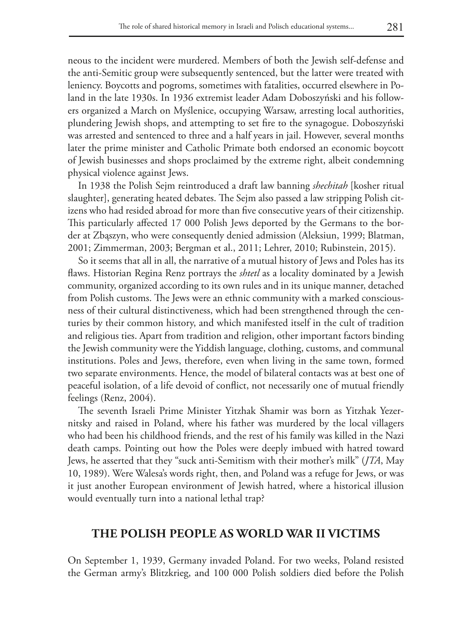neous to the incident were murdered. Members of both the Jewish self-defense and the anti-Semitic group were subsequently sentenced, but the latter were treated with leniency. Boycotts and pogroms, sometimes with fatalities, occurred elsewhere in Poland in the late 1930s. In 1936 extremist leader Adam Doboszyński and his followers organized a March on Myślenice, occupying Warsaw, arresting local authorities, plundering Jewish shops, and attempting to set fire to the synagogue. Doboszyński was arrested and sentenced to three and a half years in jail. However, several months later the prime minister and Catholic Primate both endorsed an economic boycott of Jewish businesses and shops proclaimed by the extreme right, albeit condemning physical violence against Jews.

In 1938 the Polish Sejm reintroduced a draft law banning *shechitah* [kosher ritual slaughter], generating heated debates. The Sejm also passed a law stripping Polish citizens who had resided abroad for more than five consecutive years of their citizenship. This particularly affected 17 000 Polish Jews deported by the Germans to the border at Zbąszyn, who were consequently denied admission (Aleksiun, 1999; Blatman, 2001; Zimmerman, 2003; Bergman et al., 2011; Lehrer, 2010; Rubinstein, 2015).

So it seems that all in all, the narrative of a mutual history of Jews and Poles has its flaws. Historian Regina Renz portrays the *shtetl* as a locality dominated by a Jewish community, organized according to its own rules and in its unique manner, detached from Polish customs. The Jews were an ethnic community with a marked consciousness of their cultural distinctiveness, which had been strengthened through the centuries by their common history, and which manifested itself in the cult of tradition and religious ties. Apart from tradition and religion, other important factors binding the Jewish community were the Yiddish language, clothing, customs, and communal institutions. Poles and Jews, therefore, even when living in the same town, formed two separate environments. Hence, the model of bilateral contacts was at best one of peaceful isolation, of a life devoid of conflict, not necessarily one of mutual friendly feelings (Renz, 2004).

The seventh Israeli Prime Minister Yitzhak Shamir was born as Yitzhak Yezernitsky and raised in Poland, where his father was murdered by the local villagers who had been his childhood friends, and the rest of his family was killed in the Nazi death camps. Pointing out how the Poles were deeply imbued with hatred toward Jews, he asserted that they "suck anti-Semitism with their mother's milk" (*JTA*, May 10, 1989). Were Walesa's words right, then, and Poland was a refuge for Jews, or was it just another European environment of Jewish hatred, where a historical illusion would eventually turn into a national lethal trap?

#### **THE POLISH PEOPLE AS WORLD WAR II VICTIMS**

On September 1, 1939, Germany invaded Poland. For two weeks, Poland resisted the German army's Blitzkrieg, and 100 000 Polish soldiers died before the Polish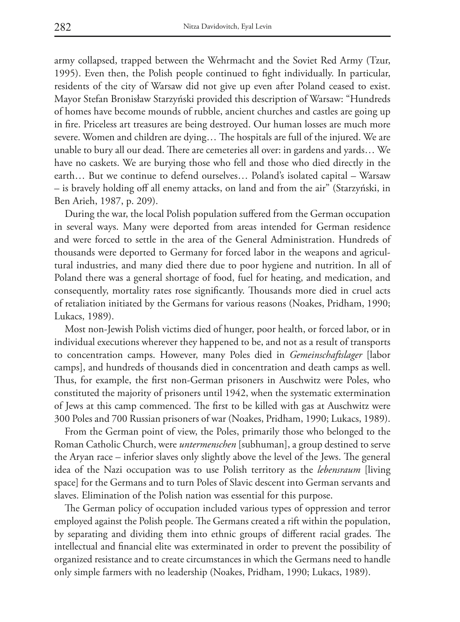army collapsed, trapped between the Wehrmacht and the Soviet Red Army (Tzur, 1995). Even then, the Polish people continued to fight individually. In particular, residents of the city of Warsaw did not give up even after Poland ceased to exist. Mayor Stefan Bronisław Starzyński provided this description of Warsaw: "Hundreds of homes have become mounds of rubble, ancient churches and castles are going up in fire. Priceless art treasures are being destroyed. Our human losses are much more severe. Women and children are dying… The hospitals are full of the injured. We are unable to bury all our dead. There are cemeteries all over: in gardens and yards… We have no caskets. We are burying those who fell and those who died directly in the earth… But we continue to defend ourselves… Poland's isolated capital – Warsaw – is bravely holding off all enemy attacks, on land and from the air" (Starzyński, in Ben Arieh, 1987, p. 209).

During the war, the local Polish population suffered from the German occupation in several ways. Many were deported from areas intended for German residence and were forced to settle in the area of the General Administration. Hundreds of thousands were deported to Germany for forced labor in the weapons and agricultural industries, and many died there due to poor hygiene and nutrition. In all of Poland there was a general shortage of food, fuel for heating, and medication, and consequently, mortality rates rose significantly. Thousands more died in cruel acts of retaliation initiated by the Germans for various reasons (Noakes, Pridham, 1990; Lukacs, 1989).

Most non-Jewish Polish victims died of hunger, poor health, or forced labor, or in individual executions wherever they happened to be, and not as a result of transports to concentration camps. However, many Poles died in *Gemeinschaftslager* [labor camps], and hundreds of thousands died in concentration and death camps as well. Thus, for example, the first non-German prisoners in Auschwitz were Poles, who constituted the majority of prisoners until 1942, when the systematic extermination of Jews at this camp commenced. The first to be killed with gas at Auschwitz were 300 Poles and 700 Russian prisoners of war (Noakes, Pridham, 1990; Lukacs, 1989).

From the German point of view, the Poles, primarily those who belonged to the Roman Catholic Church, were *untermenschen* [subhuman], a group destined to serve the Aryan race – inferior slaves only slightly above the level of the Jews. The general idea of the Nazi occupation was to use Polish territory as the *lebensraum* [living space] for the Germans and to turn Poles of Slavic descent into German servants and slaves. Elimination of the Polish nation was essential for this purpose.

The German policy of occupation included various types of oppression and terror employed against the Polish people. The Germans created a rift within the population, by separating and dividing them into ethnic groups of different racial grades. The intellectual and financial elite was exterminated in order to prevent the possibility of organized resistance and to create circumstances in which the Germans need to handle only simple farmers with no leadership (Noakes, Pridham, 1990; Lukacs, 1989).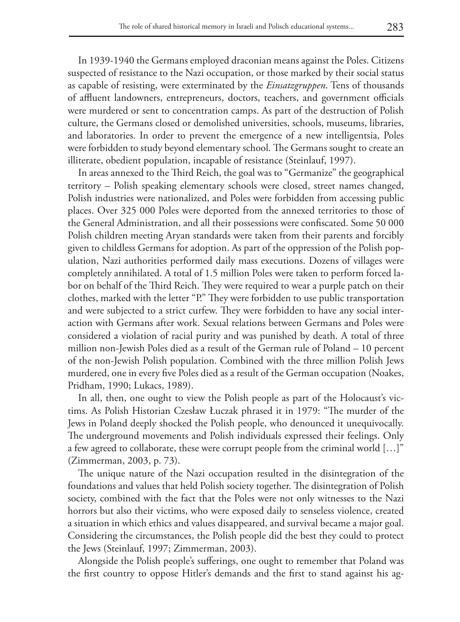In 1939-1940 the Germans employed draconian means against the Poles. Citizens suspected of resistance to the Nazi occupation, or those marked by their social status as capable of resisting, were exterminated by the *Einsatzgruppen*. Tens of thousands of affluent landowners, entrepreneurs, doctors, teachers, and government officials were murdered or sent to concentration camps. As part of the destruction of Polish culture, the Germans closed or demolished universities, schools, museums, libraries, and laboratories. In order to prevent the emergence of a new intelligentsia, Poles were forbidden to study beyond elementary school. The Germans sought to create an illiterate, obedient population, incapable of resistance (Steinlauf, 1997).

In areas annexed to the Third Reich, the goal was to "Germanize" the geographical territory – Polish speaking elementary schools were closed, street names changed, Polish industries were nationalized, and Poles were forbidden from accessing public places. Over 325 000 Poles were deported from the annexed territories to those of the General Administration, and all their possessions were confiscated. Some 50 000 Polish children meeting Aryan standards were taken from their parents and forcibly given to childless Germans for adoption. As part of the oppression of the Polish population, Nazi authorities performed daily mass executions. Dozens of villages were completely annihilated. A total of 1.5 million Poles were taken to perform forced labor on behalf of the Third Reich. They were required to wear a purple patch on their clothes, marked with the letter "P." They were forbidden to use public transportation and were subjected to a strict curfew. They were forbidden to have any social interaction with Germans after work. Sexual relations between Germans and Poles were considered a violation of racial purity and was punished by death. A total of three million non-Jewish Poles died as a result of the German rule of Poland – 10 percent of the non-Jewish Polish population. Combined with the three million Polish Jews murdered, one in every five Poles died as a result of the German occupation (Noakes, Pridham, 1990; Lukacs, 1989).

In all, then, one ought to view the Polish people as part of the Holocaust's victims. As Polish Historian Czesław Łuczak phrased it in 1979: "The murder of the Jews in Poland deeply shocked the Polish people, who denounced it unequivocally. The underground movements and Polish individuals expressed their feelings. Only a few agreed to collaborate, these were corrupt people from the criminal world […]" (Zimmerman, 2003, p. 73).

The unique nature of the Nazi occupation resulted in the disintegration of the foundations and values that held Polish society together. The disintegration of Polish society, combined with the fact that the Poles were not only witnesses to the Nazi horrors but also their victims, who were exposed daily to senseless violence, created a situation in which ethics and values disappeared, and survival became a major goal. Considering the circumstances, the Polish people did the best they could to protect the Jews (Steinlauf, 1997; Zimmerman, 2003).

Alongside the Polish people's sufferings, one ought to remember that Poland was the first country to oppose Hitler's demands and the first to stand against his ag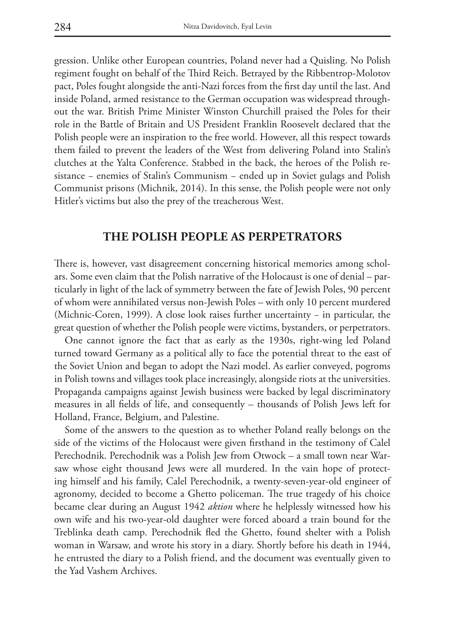gression. Unlike other European countries, Poland never had a Quisling. No Polish regiment fought on behalf of the Third Reich. Betrayed by the Ribbentrop-Molotov pact, Poles fought alongside the anti-Nazi forces from the first day until the last. And inside Poland, armed resistance to the German occupation was widespread throughout the war. British Prime Minister Winston Churchill praised the Poles for their role in the Battle of Britain and US President Franklin Roosevelt declared that the Polish people were an inspiration to the free world. However, all this respect towards them failed to prevent the leaders of the West from delivering Poland into Stalin's clutches at the Yalta Conference. Stabbed in the back, the heroes of the Polish resistance − enemies of Stalin's Communism − ended up in Soviet gulags and Polish Communist prisons (Michnik, 2014). In this sense, the Polish people were not only Hitler's victims but also the prey of the treacherous West.

#### **THE POLISH PEOPLE AS PERPETRATORS**

There is, however, vast disagreement concerning historical memories among scholars. Some even claim that the Polish narrative of the Holocaust is one of denial – particularly in light of the lack of symmetry between the fate of Jewish Poles, 90 percent of whom were annihilated versus non-Jewish Poles – with only 10 percent murdered (Michnic-Coren, 1999). A close look raises further uncertainty − in particular, the great question of whether the Polish people were victims, bystanders, or perpetrators.

One cannot ignore the fact that as early as the 1930s, right-wing led Poland turned toward Germany as a political ally to face the potential threat to the east of the Soviet Union and began to adopt the Nazi model. As earlier conveyed, pogroms in Polish towns and villages took place increasingly, alongside riots at the universities. Propaganda campaigns against Jewish business were backed by legal discriminatory measures in all fields of life, and consequently – thousands of Polish Jews left for Holland, France, Belgium, and Palestine.

Some of the answers to the question as to whether Poland really belongs on the side of the victims of the Holocaust were given firsthand in the testimony of Calel Perechodnik. Perechodnik was a Polish Jew from Otwock – a small town near Warsaw whose eight thousand Jews were all murdered. In the vain hope of protecting himself and his family, Calel Perechodnik, a twenty-seven-year-old engineer of agronomy, decided to become a Ghetto policeman. The true tragedy of his choice became clear during an August 1942 *aktion* where he helplessly witnessed how his own wife and his two-year-old daughter were forced aboard a train bound for the Treblinka death camp. Perechodnik fled the Ghetto, found shelter with a Polish woman in Warsaw, and wrote his story in a diary. Shortly before his death in 1944, he entrusted the diary to a Polish friend, and the document was eventually given to the Yad Vashem Archives.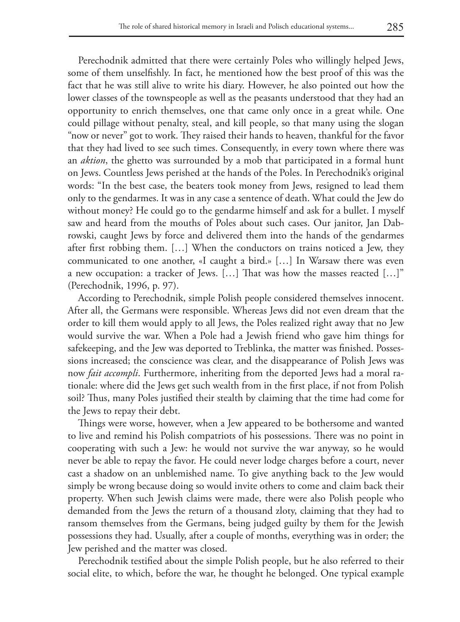Perechodnik admitted that there were certainly Poles who willingly helped Jews, some of them unselfishly. In fact, he mentioned how the best proof of this was the fact that he was still alive to write his diary. However, he also pointed out how the lower classes of the townspeople as well as the peasants understood that they had an opportunity to enrich themselves, one that came only once in a great while. One could pillage without penalty, steal, and kill people, so that many using the slogan "now or never" got to work. They raised their hands to heaven, thankful for the favor that they had lived to see such times. Consequently, in every town where there was an *aktion*, the ghetto was surrounded by a mob that participated in a formal hunt on Jews. Countless Jews perished at the hands of the Poles. In Perechodnik's original words: "In the best case, the beaters took money from Jews, resigned to lead them only to the gendarmes. It was in any case a sentence of death. What could the Jew do without money? He could go to the gendarme himself and ask for a bullet. I myself saw and heard from the mouths of Poles about such cases. Our janitor, Jan Dabrowski, caught Jews by force and delivered them into the hands of the gendarmes after first robbing them. […] When the conductors on trains noticed a Jew, they communicated to one another, «I caught a bird.» […] In Warsaw there was even a new occupation: a tracker of Jews. […] That was how the masses reacted […]" (Perechodnik, 1996, p. 97).

According to Perechodnik, simple Polish people considered themselves innocent. After all, the Germans were responsible. Whereas Jews did not even dream that the order to kill them would apply to all Jews, the Poles realized right away that no Jew would survive the war. When a Pole had a Jewish friend who gave him things for safekeeping, and the Jew was deported to Treblinka, the matter was finished. Possessions increased; the conscience was clear, and the disappearance of Polish Jews was now *fait accompli*. Furthermore, inheriting from the deported Jews had a moral rationale: where did the Jews get such wealth from in the first place, if not from Polish soil? Thus, many Poles justified their stealth by claiming that the time had come for the Jews to repay their debt.

Things were worse, however, when a Jew appeared to be bothersome and wanted to live and remind his Polish compatriots of his possessions. There was no point in cooperating with such a Jew: he would not survive the war anyway, so he would never be able to repay the favor. He could never lodge charges before a court, never cast a shadow on an unblemished name. To give anything back to the Jew would simply be wrong because doing so would invite others to come and claim back their property. When such Jewish claims were made, there were also Polish people who demanded from the Jews the return of a thousand zloty, claiming that they had to ransom themselves from the Germans, being judged guilty by them for the Jewish possessions they had. Usually, after a couple of months, everything was in order; the Jew perished and the matter was closed.

Perechodnik testified about the simple Polish people, but he also referred to their social elite, to which, before the war, he thought he belonged. One typical example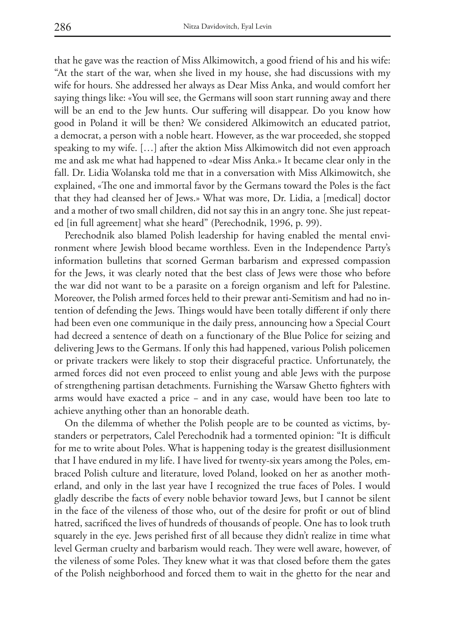that he gave was the reaction of Miss Alkimowitch, a good friend of his and his wife: "At the start of the war, when she lived in my house, she had discussions with my wife for hours. She addressed her always as Dear Miss Anka, and would comfort her saying things like: «You will see, the Germans will soon start running away and there will be an end to the Jew hunts. Our suffering will disappear. Do you know how good in Poland it will be then? We considered Alkimowitch an educated patriot, a democrat, a person with a noble heart. However, as the war proceeded, she stopped speaking to my wife. […] after the aktion Miss Alkimowitch did not even approach me and ask me what had happened to «dear Miss Anka.» It became clear only in the fall. Dr. Lidia Wolanska told me that in a conversation with Miss Alkimowitch, she explained, «The one and immortal favor by the Germans toward the Poles is the fact that they had cleansed her of Jews.» What was more, Dr. Lidia, a [medical] doctor and a mother of two small children, did not say this in an angry tone. She just repeated [in full agreement] what she heard" (Perechodnik, 1996, p. 99).

Perechodnik also blamed Polish leadership for having enabled the mental environment where Jewish blood became worthless. Even in the Independence Party's information bulletins that scorned German barbarism and expressed compassion for the Jews, it was clearly noted that the best class of Jews were those who before the war did not want to be a parasite on a foreign organism and left for Palestine. Moreover, the Polish armed forces held to their prewar anti-Semitism and had no intention of defending the Jews. Things would have been totally different if only there had been even one communique in the daily press, announcing how a Special Court had decreed a sentence of death on a functionary of the Blue Police for seizing and delivering Jews to the Germans. If only this had happened, various Polish policemen or private trackers were likely to stop their disgraceful practice. Unfortunately, the armed forces did not even proceed to enlist young and able Jews with the purpose of strengthening partisan detachments. Furnishing the Warsaw Ghetto fighters with arms would have exacted a price − and in any case, would have been too late to achieve anything other than an honorable death.

On the dilemma of whether the Polish people are to be counted as victims, bystanders or perpetrators, Calel Perechodnik had a tormented opinion: "It is difficult for me to write about Poles. What is happening today is the greatest disillusionment that I have endured in my life. I have lived for twenty-six years among the Poles, embraced Polish culture and literature, loved Poland, looked on her as another motherland, and only in the last year have I recognized the true faces of Poles. I would gladly describe the facts of every noble behavior toward Jews, but I cannot be silent in the face of the vileness of those who, out of the desire for profit or out of blind hatred, sacrificed the lives of hundreds of thousands of people. One has to look truth squarely in the eye. Jews perished first of all because they didn't realize in time what level German cruelty and barbarism would reach. They were well aware, however, of the vileness of some Poles. They knew what it was that closed before them the gates of the Polish neighborhood and forced them to wait in the ghetto for the near and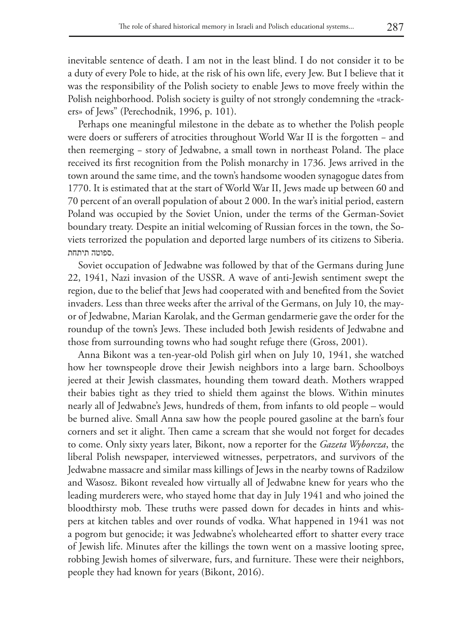inevitable sentence of death. I am not in the least blind. I do not consider it to be a duty of every Pole to hide, at the risk of his own life, every Jew. But I believe that it was the responsibility of the Polish society to enable Jews to move freely within the Polish neighborhood. Polish society is guilty of not strongly condemning the «trackers» of Jews" (Perechodnik, 1996, p. 101).

Perhaps one meaningful milestone in the debate as to whether the Polish people were doers or sufferers of atrocities throughout World War II is the forgotten − and then reemerging − story of Jedwabne, a small town in northeast Poland. The place received its first recognition from the Polish monarchy in 1736. Jews arrived in the town around the same time, and the town's handsome wooden synagogue dates from 1770. It is estimated that at the start of World War II, Jews made up between 60 and 70 percent of an overall population of about 2 000. In the war's initial period, eastern Poland was occupied by the Soviet Union, under the terms of the German-Soviet boundary treaty. Despite an initial welcoming of Russian forces in the town, the Soviets terrorized the population and deported large numbers of its citizens to Siberia. .ספוטה תיתחת

Soviet occupation of Jedwabne was followed by that of the Germans during June 22, 1941, Nazi invasion of the USSR. A wave of anti-Jewish sentiment swept the region, due to the belief that Jews had cooperated with and benefited from the Soviet invaders. Less than three weeks after the arrival of the Germans, on July 10, the mayor of Jedwabne, Marian Karolak, and the German gendarmerie gave the order for the roundup of the town's Jews. These included both Jewish residents of Jedwabne and those from surrounding towns who had sought refuge there (Gross, 2001).

Anna Bikont was a ten-year-old Polish girl when on July 10, 1941, she watched how her townspeople drove their Jewish neighbors into a large barn. Schoolboys jeered at their Jewish classmates, hounding them toward death. Mothers wrapped their babies tight as they tried to shield them against the blows. Within minutes nearly all of Jedwabne's Jews, hundreds of them, from infants to old people – would be burned alive. Small Anna saw how the people poured gasoline at the barn's four corners and set it alight. Then came a scream that she would not forget for decades to come. Only sixty years later, Bikont, now a reporter for the *Gazeta Wyborcza*, the liberal Polish newspaper, interviewed witnesses, perpetrators, and survivors of the Jedwabne massacre and similar mass killings of Jews in the nearby towns of Radzilow and Wasosz. Bikont revealed how virtually all of Jedwabne knew for years who the leading murderers were, who stayed home that day in July 1941 and who joined the bloodthirsty mob. These truths were passed down for decades in hints and whispers at kitchen tables and over rounds of vodka. What happened in 1941 was not a pogrom but genocide; it was Jedwabne's wholehearted effort to shatter every trace of Jewish life. Minutes after the killings the town went on a massive looting spree, robbing Jewish homes of silverware, furs, and furniture. These were their neighbors, people they had known for years (Bikont, 2016).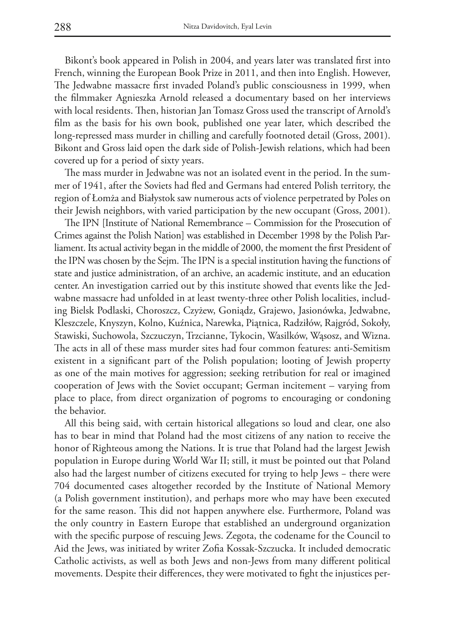Bikont's book appeared in Polish in 2004, and years later was translated first into French, winning the European Book Prize in 2011, and then into English. However, The Jedwabne massacre first invaded Poland's public consciousness in 1999, when the filmmaker Agnieszka Arnold released a documentary based on her interviews with local residents. Then, historian Jan Tomasz Gross used the transcript of Arnold's film as the basis for his own book, published one year later, which described the long-repressed mass murder in chilling and carefully footnoted detail (Gross, 2001). Bikont and Gross laid open the dark side of Polish-Jewish relations, which had been covered up for a period of sixty years.

The mass murder in Jedwabne was not an isolated event in the period. In the summer of 1941, after the Soviets had fled and Germans had entered Polish territory, the region of Łomża and Białystok saw numerous acts of violence perpetrated by Poles on their Jewish neighbors, with varied participation by the new occupant (Gross, 2001).

The IPN [Institute of National Remembrance – Commission for the Prosecution of Crimes against the Polish Nation] was established in December 1998 by the Polish Parliament. Its actual activity began in the middle of 2000, the moment the first President of the IPN was chosen by the Sejm. The IPN is a special institution having the functions of state and justice administration, of an archive, an academic institute, and an education center. An investigation carried out by this institute showed that events like the Jedwabne massacre had unfolded in at least twenty-three other Polish localities, including Bielsk Podlaski, Choroszcz, Czyżew, Goniądz, Grajewo, Jasionówka, Jedwabne, Kleszczele, Knyszyn, Kolno, Kuźnica, Narewka, Piątnica, Radziłów, Rajgród, Sokoły, Stawiski, Suchowola, Szczuczyn, Trzcianne, Tykocin, Wasilków, Wąsosz, and Wizna. The acts in all of these mass murder sites had four common features: anti-Semitism existent in a significant part of the Polish population; looting of Jewish property as one of the main motives for aggression; seeking retribution for real or imagined cooperation of Jews with the Soviet occupant; German incitement – varying from place to place, from direct organization of pogroms to encouraging or condoning the behavior.

All this being said, with certain historical allegations so loud and clear, one also has to bear in mind that Poland had the most citizens of any nation to receive the honor of Righteous among the Nations. It is true that Poland had the largest Jewish population in Europe during World War II; still, it must be pointed out that Poland also had the largest number of citizens executed for trying to help Jews − there were 704 documented cases altogether recorded by the Institute of National Memory (a Polish government institution), and perhaps more who may have been executed for the same reason. This did not happen anywhere else. Furthermore, Poland was the only country in Eastern Europe that established an underground organization with the specific purpose of rescuing Jews. Zegota, the codename for the Council to Aid the Jews, was initiated by writer Zofia Kossak-Szczucka. It included democratic Catholic activists, as well as both Jews and non-Jews from many different political movements. Despite their differences, they were motivated to fight the injustices per-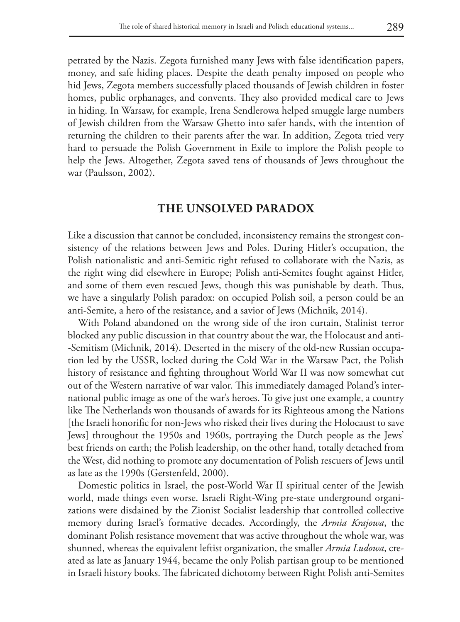petrated by the Nazis. Zegota furnished many Jews with false identification papers, money, and safe hiding places. Despite the death penalty imposed on people who hid Jews, Zegota members successfully placed thousands of Jewish children in foster homes, public orphanages, and convents. They also provided medical care to Jews in hiding. In Warsaw, for example, Irena Sendlerowa helped smuggle large numbers of Jewish children from the Warsaw Ghetto into safer hands, with the intention of returning the children to their parents after the war. In addition, Zegota tried very hard to persuade the Polish Government in Exile to implore the Polish people to help the Jews. Altogether, Zegota saved tens of thousands of Jews throughout the war (Paulsson, 2002).

#### **THE UNSOLVED PARADOX**

Like a discussion that cannot be concluded, inconsistency remains the strongest consistency of the relations between Jews and Poles. During Hitler's occupation, the Polish nationalistic and anti-Semitic right refused to collaborate with the Nazis, as the right wing did elsewhere in Europe; Polish anti-Semites fought against Hitler, and some of them even rescued Jews, though this was punishable by death. Thus, we have a singularly Polish paradox: on occupied Polish soil, a person could be an anti-Semite, a hero of the resistance, and a savior of Jews (Michnik, 2014).

With Poland abandoned on the wrong side of the iron curtain, Stalinist terror blocked any public discussion in that country about the war, the Holocaust and anti- -Semitism (Michnik, 2014). Deserted in the misery of the old-new Russian occupation led by the USSR, locked during the Cold War in the Warsaw Pact, the Polish history of resistance and fighting throughout World War II was now somewhat cut out of the Western narrative of war valor. This immediately damaged Poland's international public image as one of the war's heroes. To give just one example, a country like The Netherlands won thousands of awards for its Righteous among the Nations [the Israeli honorific for non-Jews who risked their lives during the Holocaust to save Jews] throughout the 1950s and 1960s, portraying the Dutch people as the Jews' best friends on earth; the Polish leadership, on the other hand, totally detached from the West, did nothing to promote any documentation of Polish rescuers of Jews until as late as the 1990s (Gerstenfeld, 2000).

Domestic politics in Israel, the post-World War II spiritual center of the Jewish world, made things even worse. Israeli Right-Wing pre-state underground organizations were disdained by the Zionist Socialist leadership that controlled collective memory during Israel's formative decades. Accordingly, the *Armia Krajowa*, the dominant Polish resistance movement that was active throughout the whole war, was shunned, whereas the equivalent leftist organization, the smaller *Armia Ludowa*, created as late as January 1944, became the only Polish partisan group to be mentioned in Israeli history books. The fabricated dichotomy between Right Polish anti-Semites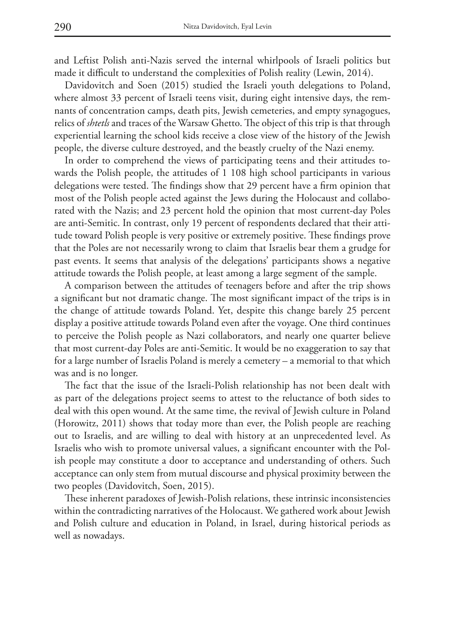and Leftist Polish anti-Nazis served the internal whirlpools of Israeli politics but made it difficult to understand the complexities of Polish reality (Lewin, 2014).

Davidovitch and Soen (2015) studied the Israeli youth delegations to Poland, where almost 33 percent of Israeli teens visit, during eight intensive days, the remnants of concentration camps, death pits, Jewish cemeteries, and empty synagogues, relics of *shtetls* and traces of the Warsaw Ghetto. The object of this trip is that through experiential learning the school kids receive a close view of the history of the Jewish people, the diverse culture destroyed, and the beastly cruelty of the Nazi enemy.

In order to comprehend the views of participating teens and their attitudes towards the Polish people, the attitudes of 1 108 high school participants in various delegations were tested. The findings show that 29 percent have a firm opinion that most of the Polish people acted against the Jews during the Holocaust and collaborated with the Nazis; and 23 percent hold the opinion that most current-day Poles are anti-Semitic. In contrast, only 19 percent of respondents declared that their attitude toward Polish people is very positive or extremely positive. These findings prove that the Poles are not necessarily wrong to claim that Israelis bear them a grudge for past events. It seems that analysis of the delegations' participants shows a negative attitude towards the Polish people, at least among a large segment of the sample.

A comparison between the attitudes of teenagers before and after the trip shows a significant but not dramatic change. The most significant impact of the trips is in the change of attitude towards Poland. Yet, despite this change barely 25 percent display a positive attitude towards Poland even after the voyage. One third continues to perceive the Polish people as Nazi collaborators, and nearly one quarter believe that most current-day Poles are anti-Semitic. It would be no exaggeration to say that for a large number of Israelis Poland is merely a cemetery – a memorial to that which was and is no longer.

The fact that the issue of the Israeli-Polish relationship has not been dealt with as part of the delegations project seems to attest to the reluctance of both sides to deal with this open wound. At the same time, the revival of Jewish culture in Poland (Horowitz, 2011) shows that today more than ever, the Polish people are reaching out to Israelis, and are willing to deal with history at an unprecedented level. As Israelis who wish to promote universal values, a significant encounter with the Polish people may constitute a door to acceptance and understanding of others. Such acceptance can only stem from mutual discourse and physical proximity between the two peoples (Davidovitch, Soen, 2015).

These inherent paradoxes of Jewish-Polish relations, these intrinsic inconsistencies within the contradicting narratives of the Holocaust. We gathered work about Jewish and Polish culture and education in Poland, in Israel, during historical periods as well as nowadays.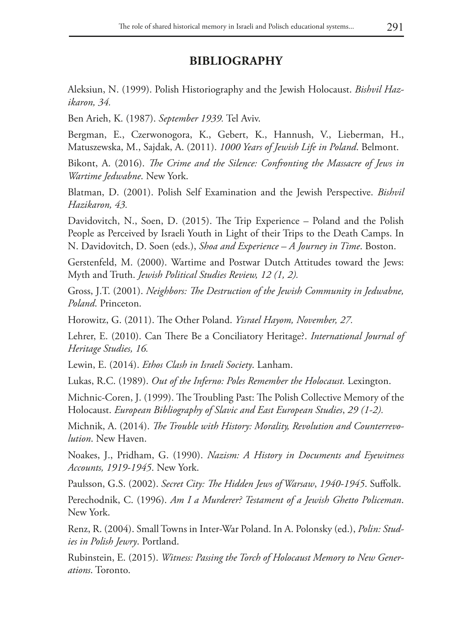### **BIBLIOGRAPHY**

Aleksiun, N. (1999). Polish Historiography and the Jewish Holocaust. *Bishvil Hazikaron, 34.*

Ben Arieh, K. (1987). *September 1939.* Tel Aviv.

Bergman, E., Czerwonogora, K., Gebert, K., Hannush, V., Lieberman, H., Matuszewska, M., Sajdak, A. (2011). *1000 Years of Jewish Life in Poland*. Belmont.

Bikont, A. (2016). *The Crime and the Silence: Confronting the Massacre of Jews in Wartime Jedwabne*. New York.

Blatman, D. (2001). Polish Self Examination and the Jewish Perspective. *Bishvil Hazikaron, 43.*

Davidovitch, N., Soen, D. (2015). The Trip Experience – Poland and the Polish People as Perceived by Israeli Youth in Light of their Trips to the Death Camps. In N. Davidovitch, D. Soen (eds.), *Shoa and Experience – A Journey in Time*. Boston.

Gerstenfeld, M. (2000). Wartime and Postwar Dutch Attitudes toward the Jews: Myth and Truth. *Jewish Political Studies Review, 12 (1, 2).*

Gross, J.T. (2001). *Neighbors: The Destruction of the Jewish Community in Jedwabne, Poland*. Princeton.

Horowitz, G. (2011). The Other Poland. *Yisrael Hayom, November, 27.*

Lehrer, E. (2010). Can There Be a Conciliatory Heritage?. *International Journal of Heritage Studies, 16.*

Lewin, E. (2014). *Ethos Clash in Israeli Society*. Lanham.

Lukas, R.C. (1989). *Out of the Inferno: Poles Remember the Holocaust*. Lexington.

Michnic-Coren, J. (1999). The Troubling Past: The Polish Collective Memory of the Holocaust. *European Bibliography of Slavic and East European Studies*, *29 (1-2).*

Michnik, A. (2014). *The Trouble with History: Morality, Revolution and Counterrevolution*. New Haven.

Noakes, J., Pridham, G. (1990). *Nazism: A History in Documents and Eyewitness Accounts, 1919-1945*. New York.

Paulsson, G.S. (2002). *Secret City: The Hidden Jews of Warsaw*, *1940-1945*. Suffolk.

Perechodnik, C. (1996). *Am I a Murderer? Testament of a Jewish Ghetto Policeman*. New York.

Renz, R. (2004). Small Towns in Inter-War Poland. In A. Polonsky (ed.), *Polin: Studies in Polish Jewry*. Portland.

Rubinstein, E. (2015). *Witness: Passing the Torch of Holocaust Memory to New Generations*. Toronto.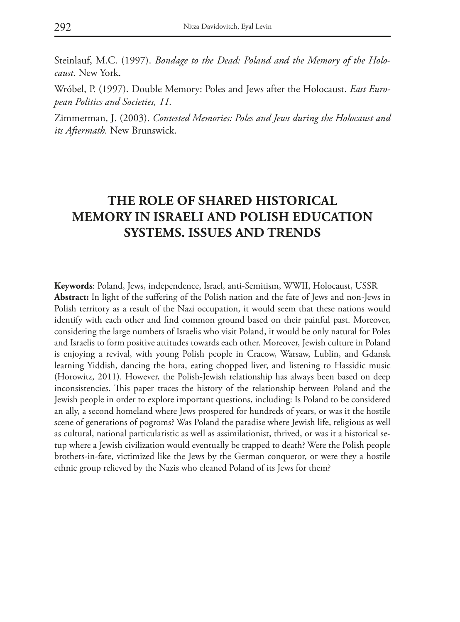Steinlauf, M.C. (1997). *Bondage to the Dead: Poland and the Memory of the Holocaust.* New York.

Wróbel, P. (1997). Double Memory: Poles and Jews after the Holocaust. *East European Politics and Societies, 11.*

Zimmerman, J. (2003). *Contested Memories: Poles and Jews during the Holocaust and its Aftermath.* New Brunswick.

## **THE ROLE OF SHARED HISTORICAL MEMORY IN ISRAELI AND POLISH EDUCATION SYSTEMS. ISSUES AND TRENDS**

**Keywords**: Poland, Jews, independence, Israel, anti-Semitism, WWII, Holocaust, USSR **Abstract:** In light of the suffering of the Polish nation and the fate of Jews and non-Jews in Polish territory as a result of the Nazi occupation, it would seem that these nations would identify with each other and find common ground based on their painful past. Moreover, considering the large numbers of Israelis who visit Poland, it would be only natural for Poles and Israelis to form positive attitudes towards each other. Moreover, Jewish culture in Poland is enjoying a revival, with young Polish people in Cracow, Warsaw, Lublin, and Gdansk learning Yiddish, dancing the hora, eating chopped liver, and listening to Hassidic music (Horowitz, 2011). However, the Polish-Jewish relationship has always been based on deep inconsistencies. This paper traces the history of the relationship between Poland and the Jewish people in order to explore important questions, including: Is Poland to be considered an ally, a second homeland where Jews prospered for hundreds of years, or was it the hostile scene of generations of pogroms? Was Poland the paradise where Jewish life, religious as well as cultural, national particularistic as well as assimilationist, thrived, or was it a historical setup where a Jewish civilization would eventually be trapped to death? Were the Polish people brothers-in-fate, victimized like the Jews by the German conqueror, or were they a hostile ethnic group relieved by the Nazis who cleaned Poland of its Jews for them?